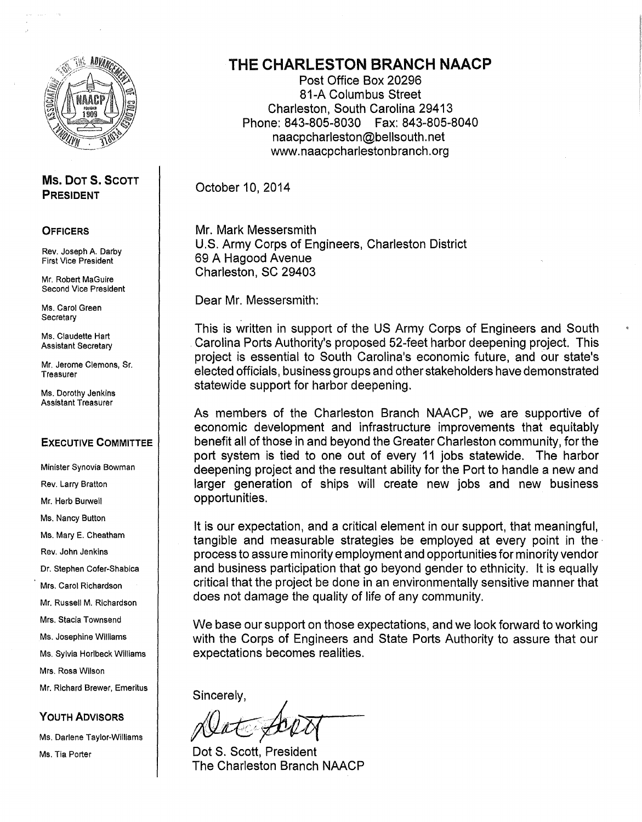

#### Ms. DOT 5. SCOTT PRESIDENT

#### **OFFICERS**

Rev. Joseph A. Darby First Vice President

Mr. Robert MaGuire Second Vice President

Ms. Carol Green **Secretary** 

Ms. Claudette Hart Assistant Secretary

Mr. Jerome Clemons, Sr. **Treasurer** 

Ms. Dorothy Jenkins Assistant Treasurer

#### EXECUTIVE COMMITTEE

Minister Synovia Bowman Rev. Larry Bratton Mr. Herb Burwell Ms. Nancy Button Ms. Mary E. Cheatham Rev. John Jenkins Dr. Stephen Cofer-Shabica Mrs. Carol Richardson Mr. Russell M. Richardson Mrs. Stacia Townsend Ms. Josephine Williams Ms. Sylvia Horlbeck Williams Mrs. Rosa Wilson Mr. Richard Brewer, Emeritus

YOUTH ADVISORS

Ms. Darlene Taylor-Williams Ms. Tia Porter

## THE CHARLESTON BRANCH NAACP

Post Office Box 20296 81-A Columbus Street Charleston, South Carolina 29413 Phone: 843-805-8030 Fax: 843-805-8040 naacpcharleston@bellsouth. net www.naacpcharlestonbranch.org

October 10, 2014

Mr. Mark Messersmith U.S. Army Corps of Engineers, Charleston District 69 A Hagood Avenue Charleston, SC 29403

Dear Mr. Messersmith:

This is written in support of the US Army Corps of Engineers and South Carolina Ports Authority's proposed 52-feet harbor deepening project. This project is essential to South Carolina's economic future, and our state's elected officials, business groups and other stakeholders have demonstrated statewide support for harbor deepening.

As members of the Charleston Branch NAACP, we are supportive of economic development and infrastructure improvements that equitably benefit all of those in and beyond the Greater Charleston community, for the port system is tied to one out of every 11 jobs statewide. The harbor deepening project and the resultant ability for the Port to handle a new and larger generation of ships will create new jobs and new business opportunities.

It is our expectation, and a critical element in our support, that meaningful, tangible and measurable strategies be employed at every point in the · process to assure minority employment and opportunities for minority vendor and business participation that go beyond gender to ethnicity. It is equally critical that the project be done in an environmentally sensitive manner that does not damage the quality of life of any community.

We base our support on those expectations, and we look forward to working with the Corps of Engineers and State Ports Authority to assure that our expectations becomes realities.

Sincerely,

 $\mathcal{L}$ nn $\mathcal{N}$ I

Dot S. Scott, President The Charleston Branch NAACP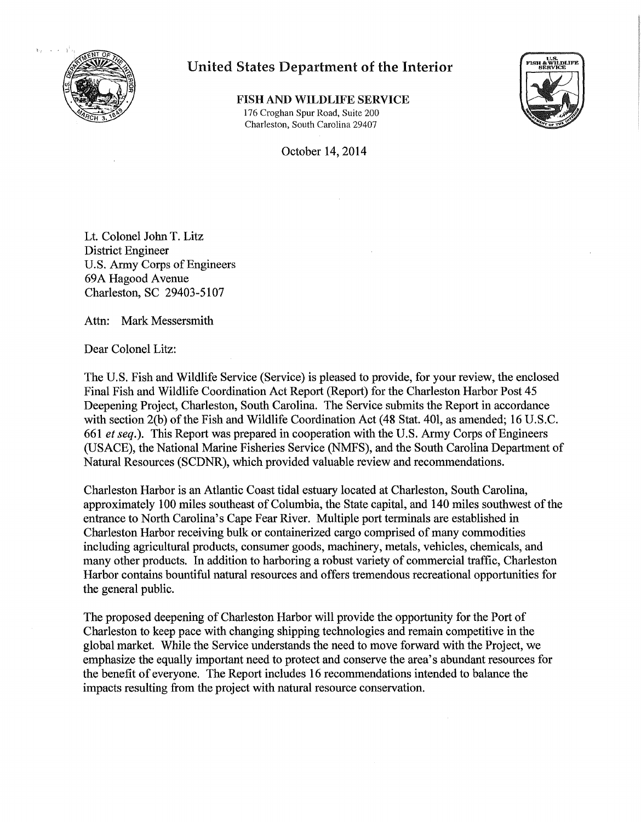

,,

### United States Department of the Interior

FISH AND WILDLIFE SERVICE 176 Croghan Spur Road, Suite 200 Charleston, South Carolina 29407



October 14, 2014

Lt. Colonel John T. Litz District Engineer U.S. Army Corps of Engineers 69A Hagood Avenue Charleston, SC 29403-5107

Attn: Mark Messersmith

Dear Colonel Litz:

The U.S. Fish and Wildlife Service (Service) is pleased to provide, for your review, the enclosed Final Fish and Wildlife Coordination Act Report (Report) for the Charleston Harbor Post 45 Deepening Project, Charleston, South Carolina. The Service submits the Report in accordance with section 2(b) of the Fish and Wildlife Coordination Act (48 Stat. 401, as amended; 16 U.S.C. 661 *et seq.*). This Report was prepared in cooperation with the U.S. Army Corps of Engineers (USACE), the National Marine Fisheries Service (NMFS), and the South Carolina Department of Natural Resources (SCDNR), which provided valuable review and recommendations.

Charleston Harbor is an Atlantic Coast tidal estuary located at Charleston, South Carolina, approximately 100 miles southeast of Columbia, the State capital, and 140 miles southwest of the entrance to North Carolina's Cape Fear River. Multiple port terminals are established in Charleston Harbor receiving bulk or containerized cargo comprised of many commodities including agricultural products, consumer goods, machinery, metals, vehicles, chemicals, and many other products. In addition to harboring a robust variety of commercial traffic, Charleston Harbor contains bountiful natural resources and offers tremendous recreational opportunities for the general public.

The proposed deepening of Charleston Harbor will provide the opportunity for the Port of Charleston to keep pace with changing shipping technologies and remain competitive in the global market. While the Service understands the need to move forward with the Project, we emphasize the equally important need to protect and conserve the area's abundant resources for the benefit of everyone. The Report includes 16 recommendations intended to balance the impacts resulting from the project with natural resource conservation.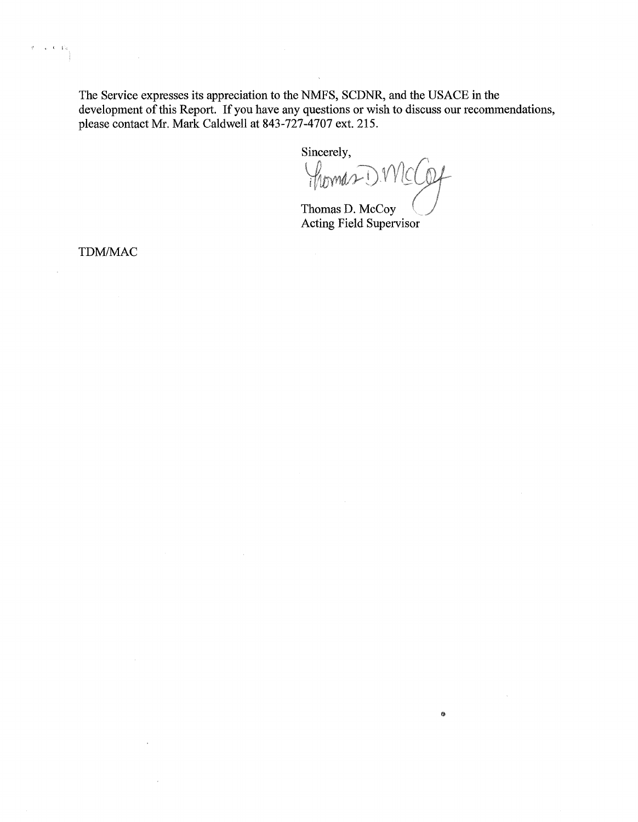The Service expresses its appreciation to the NMFS, SCDNR, and the USACE in the development of this Report. If you have any questions or wish to discuss our recommendations, please contact Mr. Mark Caldwell at 843-727-4707 ext. 215.

Sincerely,

Thomas D. MC

 $\sim$ 

0

Thomas D. McCoy Acting Field Supervisor

TDM/MAC

 $\left\{ \begin{array}{c} \mathbf{c} & \mathbf{t} \in V_{\mathbf{0}} \\ \mathbf{0} & \mathbf{0} \end{array} \right\}$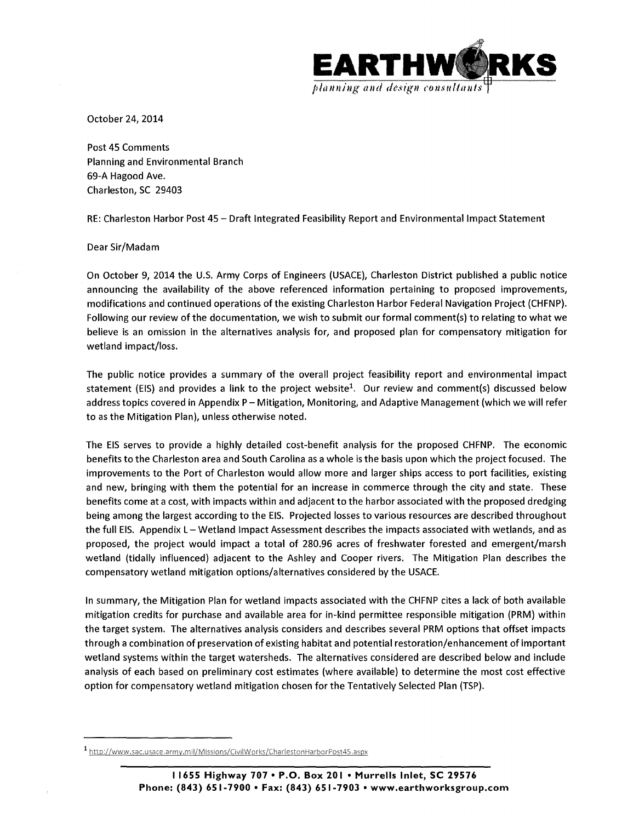

October 24, 2014

Post 45 Comments Planning and Environmental Branch 69-A Hagood Ave. Charleston, SC 29403

RE: Charleston Harbor Post 45- Draft Integrated Feasibility Report and Environmental Impact Statement

Dear Sir/Madam

On October 9, 2014 the U.S. Army Corps of Engineers (USACE), Charleston District published a public notice announcing the availability of the above referenced information pertaining to proposed improvements, modifications and continued operations of the existing Charleston Harbor Federal Navigation Project (CHFNP). Following our review of the documentation, we wish to submit our formal comment(s) to relating to what we believe is an omission in the alternatives analysis for, and proposed plan for compensatory mitigation for wetland impact/loss.

The public notice provides a summary of the overall project feasibility report and environmental impact statement (EIS) and provides a link to the project website<sup>1</sup>. Our review and comment(s) discussed below address topics covered in Appendix P- Mitigation, Monitoring, and Adaptive Management (which we will refer to as the Mitigation Plan), unless otherwise noted.

The EIS serves to provide a highly detailed cost-benefit analysis for the proposed CHFNP. The economic benefits to the Charleston area and South Carolina as a whole is the basis upon which the project focused. The improvements to the Port of Charleston would allow more and larger ships access to port facilities, existing and new, bringing with them the potential for an increase in commerce through the city and state. These benefits come at a cost, with impacts within and adjacent to the harbor associated with the proposed dredging being among the largest according to the EIS. Projected losses to various resources are described throughout the full EIS. Appendix L - Wetland Impact Assessment describes the impacts associated with wetlands, and as proposed, the project would impact a total of 280.96 acres of freshwater forested and emergent/marsh wetland (tidally influenced) adjacent to the Ashley and Cooper rivers. The Mitigation Plan describes the compensatory wetland mitigation options/alternatives considered by the USACE.

In summary, the Mitigation Plan for wetland impacts associated with the CHFNP cites a lack of both available mitigation credits for purchase and available area for in-kind permittee responsible mitigation (PRM) within the target system. The alternatives analysis considers and describes several PRM options that offset impacts through a combination of preservation of existing habitat and potential restoration/enhancement of important wetland systems within the target watersheds. The alternatives considered are described below and include analysis of each based on preliminary cost estimates (where available) to determine the most cost effective option for compensatory wetland mitigation chosen for the Tentatively Selected Plan (TSP).

<sup>1</sup> http://www.sac.usace.army.mil/Missions/CivilWorks/CharlestonHarborPost45.aspx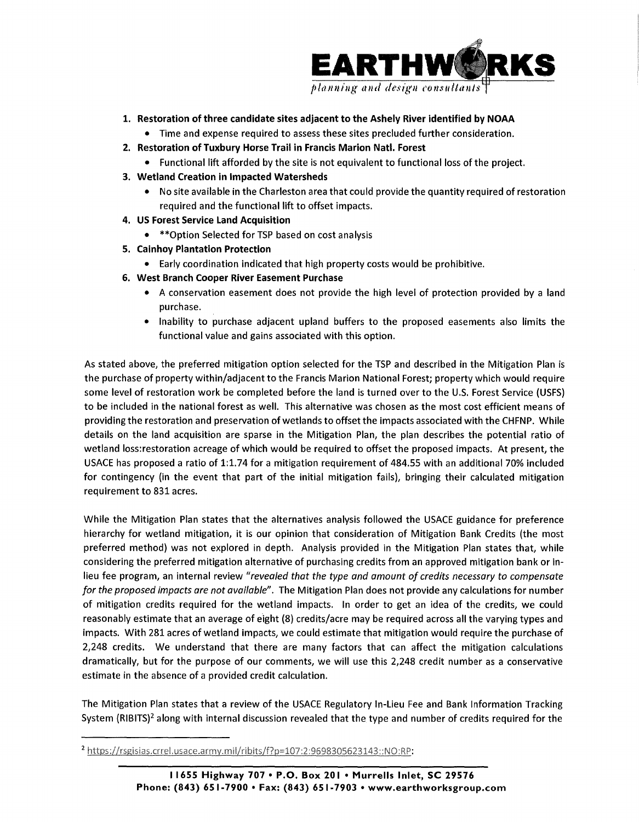

- **1. Restoration of three candidate sites adjacent to the Ashely River identified by NOAA** 
	- Time and expense required to assess these sites precluded further consideration.
- **2. Restoration of Tuxbury Horse Trail in Francis Marion Natl. Forest** 
	- Functional lift afforded by the site is not equivalent to functional loss of the project.
- **3. Wetland Creation in Impacted Watersheds** 
	- No site available in the Charleston area that could provide the quantity required of restoration required and the functional lift to offset impacts.
- **4. US Forest Service Land Acquisition** 
	- \*\*Option Selected for TSP based on cost analysis
- **5. Cainhoy Plantation Protection** 
	- Early coordination indicated that high property costs would be prohibitive.
- **6. West Branch Cooper River Easement Purchase** 
	- A conservation easement does not provide the high level of protection provided by a land purchase.
	- Inability to purchase adjacent upland buffers to the proposed easements also limits the functional value and gains associated with this option.

As stated above, the preferred mitigation option selected for the TSP and described in the Mitigation Plan is the purchase of property within/adjacent to the Francis Marion National Forest; property which would require some level of restoration work be completed before the land is turned over to the U.S. Forest Service (USFS) to be included in the national forest as well. This alternative was chosen as the most cost efficient means of providing the restoration and preservation of wetlands to offset the impacts associated with the CHFNP. While details on the land acquisition are sparse in the Mitigation Plan, the plan describes the potential ratio of wetland loss: restoration acreage of which would be required to offset the proposed impacts. At present, the USACE has proposed a ratio of 1:1.74 for a mitigation requirement of 484.55 with an additional 70% included for contingency (in the event that part of the initial mitigation fails), bringing their calculated mitigation requirement to 831 acres.

While the Mitigation Plan states that the alternatives analysis followed the USACE guidance for preference hierarchy for wetland mitigation, it is our opinion that consideration of Mitigation Bank Credits (the most preferred method) was not explored in depth. Analysis provided in the Mitigation Plan states that, while considering the preferred mitigation alternative of purchasing credits from an approved mitigation bank or inlieu fee program, an internal review *"revealed that the type and amount of credits necessary to compensate for the proposed impacts are not available".* The Mitigation Plan does not provide any calculations for number of mitigation credits required for the wetland impacts. In order to get an idea of the credits, we could reasonably estimate that an average of eight {8) credits/acre may be required across all the varying types and impacts. With 281 acres of wetland impacts, we could estimate that mitigation would require the purchase of 2,248 credits. We understand that there are many factors that can affect the mitigation calculations dramatically, but for the purpose of our comments, we will use this 2,248 credit number as a conservative estimate in the absence of a provided credit calculation.

The Mitigation Plan states that a review of the USACE Regulatory In-Lieu Fee and Bank Information Tracking System  $(R|B|TS)^2$  along with internal discussion revealed that the type and number of credits required for the

<sup>&</sup>lt;sup>2</sup> https://rsgisias.crrel.usace.army.mil/ribits/f?p=107:2:9698305623143::NO:RP: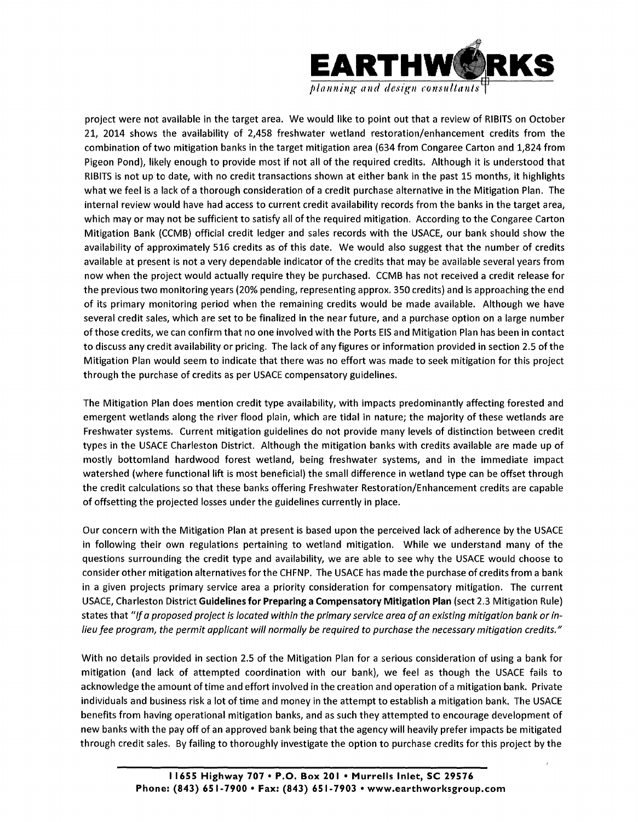

planning and design consultants

project were not available in the target area. We would like to point out that a review of RIBITS on October 21, 2014 shows the availability of 2,458 freshwater wetland restoration/enhancement credits from the combination of two mitigation banks in the target mitigation area {634 from Congaree Carton and 1,824 from Pigeon Pond), likely enough to provide most if not all of the required credits. Although it is understood that RIBITS is not up to date, with no credit transactions shown at either bank in the past 15 months, it highlights what we feel is a lack of a thorough consideration of a credit purchase alternative in the Mitigation Plan. The internal review would have had access to current credit availability records from the banks in the target area, which may or may not be sufficient to satisfy all of the required mitigation. According to the Congaree Carton Mitigation Bank (CCMB) official credit ledger and sales records with the USACE, our bank should show the availability of approximately 516 credits as of this date. We would also suggest that the number of credits available at present is not a very dependable indicator of the credits that may be available several years from now when the project would actually require they be purchased. CCMB has not received a credit release for the previous two monitoring years {20% pending, representing approx. 350 credits) and is approaching the end of its primary monitoring period when the remaining credits would be made available. Although we have several credit sales, which are set to be finalized in the near future, and a purchase option on a large number of those credits, we can confirm that no one involved with the Ports EIS and Mitigation Plan has been in contact to discuss any credit availability or pricing. The lack of any figures or information provided in section 2.5 of the Mitigation Plan would seem to indicate that there was no effort was made to seek mitigation for this project through the purchase of credits as per USACE compensatory guidelines.

The Mitigation Plan does mention credit type availability, with impacts predominantly affecting forested and emergent wetlands along the river flood plain, which are tidal in nature; the majority of these wetlands are Freshwater systems. Current mitigation guidelines do not provide many levels of distinction between credit types in the USACE Charleston District. Although the mitigation banks with credits available are made up of mostly bottomland hardwood forest wetland, being freshwater systems, and in the immediate impact watershed (where functional lift is most beneficial) the small difference in wetland type can be offset through the credit calculations so that these banks offering Freshwater Restoration/Enhancement credits are capable of offsetting the projected losses under the guidelines currently in place.

Our concern with the Mitigation Plan at present is based upon the perceived lack of adherence by the USACE in following their own regulations pertaining to wetland mitigation. While we understand many of the questions surrounding the credit type and availability, we are able to see why the USACE would choose to consider other mitigation alternatives for the CHFNP. The USACE has made the purchase of credits from a bank in a given projects primary service area a priority consideration for compensatory mitigation. The current USACE, Charleston District **Guidelines for Preparing a Compensatory Mitigation Plan** (sect 2.3 Mitigation Rule) states that *"If a proposed project is located within the primary service area of an existing mitigation bank or inlieu fee program, the permit applicant will normally be required to purchase the necessary mitigation credits."* 

With no details provided in section 2.5 of the Mitigation Plan for a serious consideration of using a bank for mitigation (and lack of attempted coordination with our bank), we feel as though the USACE fails to acknowledge the amount oftime and effort involved in the creation and operation of a mitigation bank. Private individuals and business risk a lot of time and money in the attempt to establish a mitigation bank. The USACE benefits from having operational mitigation banks, and as such they attempted to encourage development of new banks with the pay off of an approved bank being that the agency will heavily prefer impacts be mitigated through credit sales. By failing to thoroughly investigate the option to purchase credits for this project by the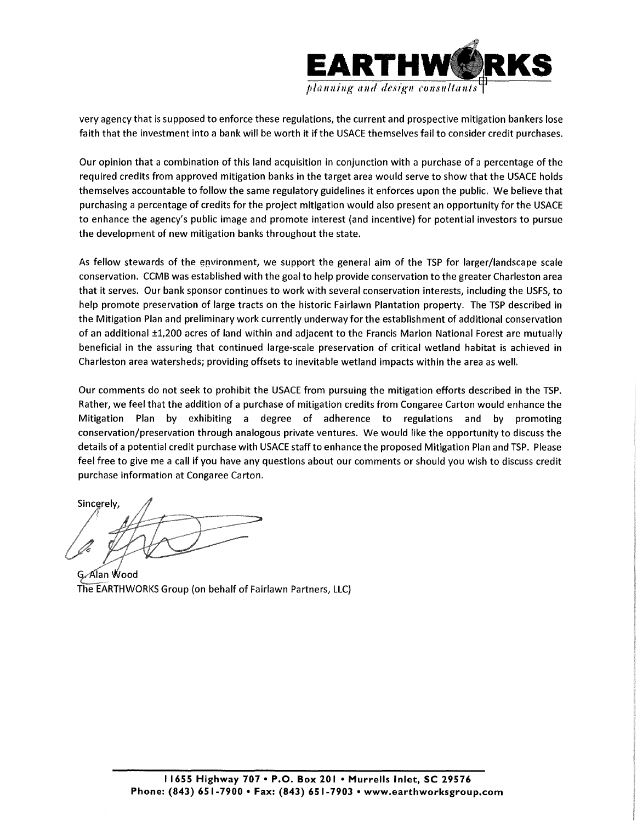

very agency that is supposed to enforce these regulations, the current and prospective mitigation bankers lose faith that the investment into a bank will be worth it if the USACE themselves fail to consider credit purchases.

Our opinion that a combination of this land acquisition in conjunction with a purchase of a percentage of the required credits from approved mitigation banks in the target area would serve to show that the USACE holds themselves accountable to follow the same regulatory guidelines it enforces upon the public. We believe that purchasing a percentage of credits for the project mitigation would also present an opportunity for the USACE to enhance the agency's public image and promote interest (and incentive) for potential investors to pursue the development of new mitigation banks throughout the state.

As fellow stewards of the environment, we support the general aim of the TSP for larger/landscape scale conservation. CCMB was established with the goal to help provide conservation to the greater Charleston area that it serves. Our bank sponsor continues to work with several conservation interests, including the USFS, to help promote preservation of large tracts on the historic Fairlawn Plantation property. The TSP described in the Mitigation Plan and preliminary work currently underway for the establishment of additional conservation of an additional ±1,200 acres of land within and adjacent to the Francis Marion National Forest are mutually beneficial in the assuring that continued large-scale preservation of critical wetland habitat is achieved in Charleston area watersheds; providing offsets to inevitable wetland impacts within the area as well.

Our comments do not seek to prohibit the USACE from pursuing the mitigation efforts described in the TSP. Rather, we feel that the addition of a purchase of mitigation credits from Congaree Carton would enhance the Mitigation Plan by exhibiting a degree of adherence to regulations and by promoting conservation/preservation through analogous private ventures. We would like the opportunity to discuss the details of a potential credit purchase with USACE staff to enhance the proposed Mitigation Plan and TSP. Please feel free to give me a call if you have any questions about our comments or should you wish to discuss credit purchase information at Congaree Carton.

Sincerely

G. Alan Wood The EARTHWORKS Group (on behalf of Fairlawn Partners, LLC)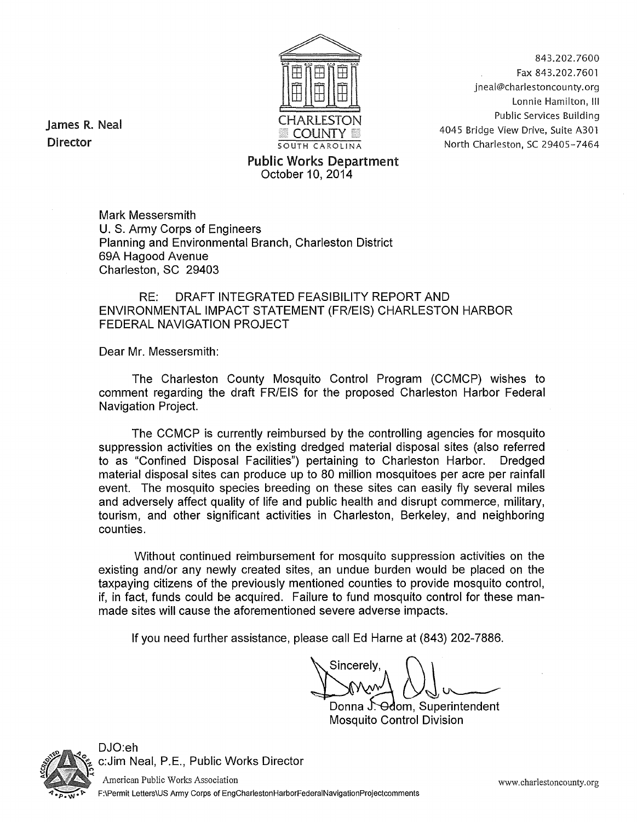

843.202.7600 Fax 843.202.7601 jneal@charlestoncounty.org Lonnie Hamilton, Ill Public Services Building 4045 Bridge View Drive, Suite A301 North Charleston, SC 29405-7464

James R. Neal Director

#### Public Works Department October 10, 2014

Mark Messersmith U. S. Army Corps of Engineers Planning and Environmental Branch, Charleston District 69A Hagood Avenue Charleston, SC 29403

#### RE: DRAFT INTEGRATED FEASIBILITY REPORT AND ENVIRONMENTAL IMPACT STATEMENT (FR/EIS) CHARLESTON HARBOR FEDERAL NAVIGATION PROJECT

Dear Mr. Messersmith:

The Charleston County Mosquito Control Program (CCMCP) wishes to comment regarding the draft FR/EIS for the proposed Charleston Harbor Federal Navigation Project.

The CCMCP is currently reimbursed by the controlling agencies for mosquito suppression activities on the existing dredged material disposal sites (also referred to as "Confined Disposal Facilities") pertaining to Charleston Harbor. Dredged material disposal sites can produce up to 80 million mosquitoes per acre per rainfall event. The mosquito species breeding on these sites can easily fly several miles and adversely affect quality of life and public health and disrupt commerce, military, tourism, and other significant activities in Charleston, Berkeley, and neighboring counties.

Without continued reimbursement for mosquito suppression activities on the existing and/or any newly created sites, an undue burden would be placed on the taxpaying citizens of the previously mentioned counties to provide mosquito control, if, in fact, funds could be acquired. Failure to fund mosquito control for these manmade sites will cause the aforementioned severe adverse impacts.

If you need further assistance, please call Ed Harne at (843) 202-7886.

Sincerelv

Donna J. Odom, Superintendent Mosquito Control Division



DJO:eh c:Jim Neal, P.E., Public Works Director

American Public Works Association F:\Permit Letters\US Army Corps of EngCharlestonHarborFederalNavigationProjectcomments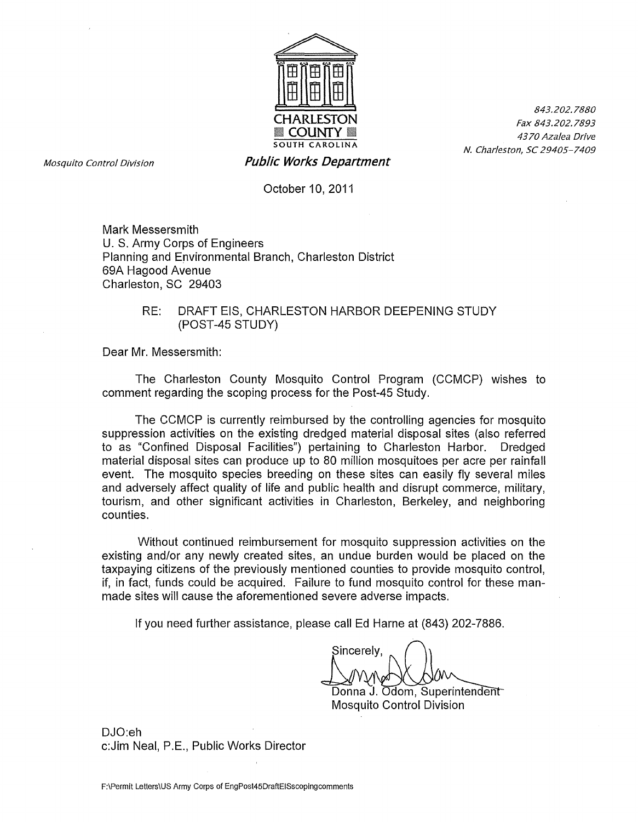

Mosquito Control Division **Public Works Department** 

October 10, 2011

Mark Messersmith U.S. Army Corps of Engineers Planning and Environmental Branch, Charleston District 69A Hagood Avenue Charleston, SC 29403

#### RE: DRAFT EIS, CHARLESTON HARBOR DEEPENING STUDY (POST-45 STUDY)

Dear Mr. Messersmith:

The Charleston County Mosquito Control Program (CCMCP) wishes to comment regarding the seeping process for the Post-45 Study.

The CCMCP is currently reimbursed by the controlling agencies for mosquito suppression activities on the existing dredged material disposal sites (also referred to as "Confined Disposal Facilities") pertaining to Charleston Harbor. Dredged material disposal sites can produce up to 80 million mosquitoes per acre per rainfall event. The mosquito species breeding on these sites can easily fly several miles and adversely affect quality of life and public health and disrupt commerce, military, tourism, and other significant activities in Charleston, Berkeley, and neighboring counties.

Without continued reimbursement for mosquito suppression activities on the existing and/or any newly created sites, an undue burden would be placed on the taxpaying citizens of the previously mentioned counties to provide mosquito control, if, in fact, funds could be acquired. Failure to fund mosquito control for these manmade sites will cause the aforementioned severe adverse impacts.

If you need further assistance, please call Ed Harne at (843) 202-7886.

Sincerely,

Donna J. Mosquito Control ◯(◯)OV ◯<br>dom, Superintendent<br>ontrol Division

DJO:eh c:Jim Neal, P.E., Public Works Director

843.202.7880 Fax 843.202.7893 43 70 Azalea Drive N. Charleston, SC 29405-7409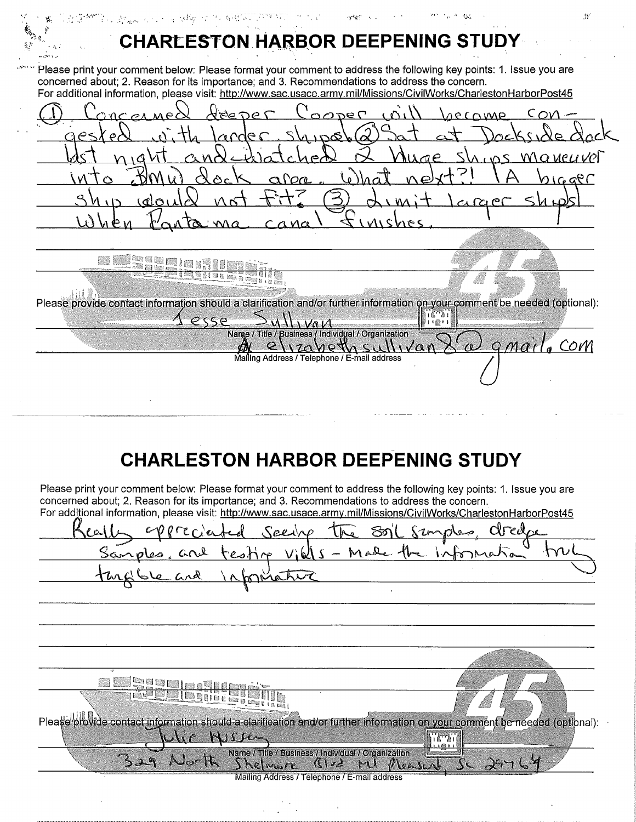12 (1989) 2011 12:20 APR 2012 12:20:20 APR 2012 12:20:20 ''• **CHARLESTON HARBOR DEEPENING STUD** Please print your comment below: Please format your comment to address the following key points: 1. Issue you are concerned about; 2. Reason for its importance; and 3. Recommendations to address the concern. For additional information, please visit: http://www.sac.usace.army.mil/Missions/CivilWorks/CharlestonHarborPost45  $DQ$ <u>over</u> <u>Cov</u> Ġ, a ve*u ve*t ⊃ afa aer inah pi K. 88 <u>TESTO E TETRO</u> Please provide contact information should a clarification and/or further information on your comment be needed (optional): הגיהה<br>הרחים esse Va V Narge / Title / Business / Individual / Organization gmail. Com 112abethsullio  $\mathcal{O}$  $\alpha$ Mailing Address / Telephone / E-mail address

## **CHARLESTON HARBOR DEEPENING STUDY**

Please print your comment below: Please format your comment to address the following key points: 1. Issue you are concerned about; 2. Reason for its importance; and 3. Recommendations to address the concern.

| For additional information, please visit: <u>http://www.sac.usace.army.mil/Missions/CivilWorks/CharlestonHarborPost45</u>                                                                                                              |                  |
|----------------------------------------------------------------------------------------------------------------------------------------------------------------------------------------------------------------------------------------|------------------|
|                                                                                                                                                                                                                                        |                  |
| Keally oppreciated seeing the soil simples, dredge<br>Samples, and testing vills - Made the Information !                                                                                                                              |                  |
|                                                                                                                                                                                                                                        |                  |
|                                                                                                                                                                                                                                        |                  |
|                                                                                                                                                                                                                                        |                  |
|                                                                                                                                                                                                                                        |                  |
|                                                                                                                                                                                                                                        |                  |
|                                                                                                                                                                                                                                        |                  |
|                                                                                                                                                                                                                                        |                  |
| <b>A LE LE RECEDIT DE L'ANGERIT (DE L'ANGERIT DE L'ANGERIT DE L'ANGERIT DE L'ANGERIT DE L'ANGERIT DE L'ANGERIT DE</b><br>L'ANGELIT DE L'ANGELIT DE L'ANGELIT DE L'ANGELIT DE L'ANGELIT DE L'ANGELIT DE L'ANGELIT DE L'ANGELIT DE L'ANG |                  |
| Please provide contact information should a clarification and/or further information on your comment be needed (optional):                                                                                                             |                  |
| ulle Hussen                                                                                                                                                                                                                            | הוריות<br>הוריות |
| 329 North Shelmore<br>Name / Title / Business / Individual / Organization<br>Reasent.<br>112H                                                                                                                                          |                  |
| Mailing Address / Telephone / E-mail address                                                                                                                                                                                           |                  |

 $\mathcal{G}$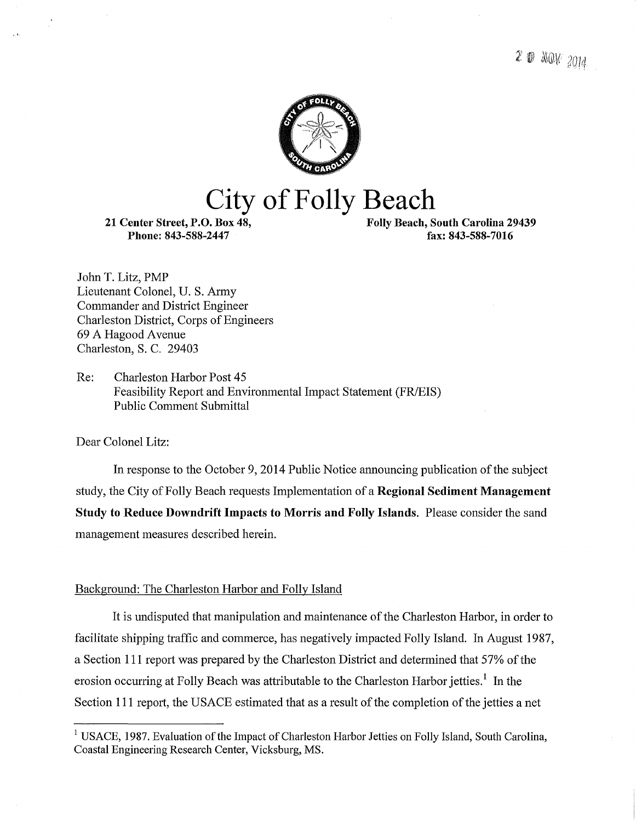

# **City of Folly Beach**

21 Center Street, P.O. Box 48, Phone: 843-588-2447

Folly Beach, South Carolina 29439 fax: 843-588-7016

John T. Litz, PMP Lieutenant Colonel, U.S. Army Commander and District Engineer Charleston District, Corps of Engineers 69 A Hagood Avenue Charleston, S. C. 29403

Re: Charleston Harbor Post 45 Feasibility Report and Environmental Impact Statement (FR/EIS) Public Comment Submittal

Dear Colonel Litz:

In response to the October 9, 2014 Public Notice announcing publication of the subject study, the City of Folly Beach requests Implementation of a Regional Sediment Management Study to Reduce Downdrift Impacts to Morris and Folly Islands. Please consider the sand management measures described herein.

#### Background: The Charleston Harbor and Folly Island

It is undisputed that manipulation and maintenance of the Charleston Harbor, in order to facilitate shipping traffic and commerce, has negatively impacted Folly Island. In August 1987, a Section 111 report was prepared by the Charleston District and determined that 57% of the erosion occurring at Folly Beach was attributable to the Charleston Harbor jetties.<sup>1</sup> In the Section 111 report, the USACE estimated that as a result of the completion of the jetties a net

<sup>&</sup>lt;sup>1</sup> USACE, 1987. Evaluation of the Impact of Charleston Harbor Jetties on Folly Island, South Carolina, Coastal Engineering Research Center, Vicksburg, MS.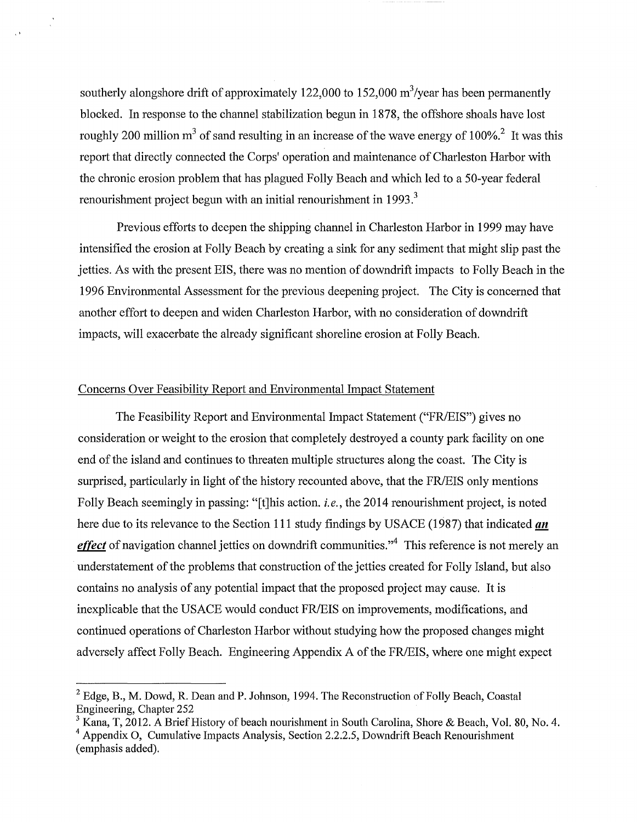southerly alongshore drift of approximately 122,000 to 152,000  $\text{m}^3/\text{year}$  has been permanently blocked. In response to the channel stabilization begun in 1878, the offshore shoals have lost roughly 200 million  $m<sup>3</sup>$  of sand resulting in an increase of the wave energy of 100%.<sup>2</sup> It was this report that directly connected the Corps' operation and maintenance of Charleston Harbor with the chronic erosion problem that has plagued Folly Beach and which led to a 50-year federal renourishment project begun with an initial renourishment in 1993.<sup>3</sup>

Previous efforts to deepen the shipping channel in Charleston Harbor in 1999 may have intensified the erosion at Folly Beach by creating a sink for any sediment that might slip past the jetties. As with the present EIS, there was no mention of downdrift impacts to Folly Beach in the 1996 Environmental Assessment for the previous deepening project. The City is concerned that another effort to deepen and widen Charleston Harbor, with no consideration of downdrift impacts, will exacerbate the already significant shoreline erosion at Folly Beach.

#### Concerns Over Feasibility Report and Environmental Impact Statement

The Feasibility Report and Environmental Impact Statement ("FR/EIS") gives no consideration or weight to the erosion that completely destroyed a county park facility on one end of the island and continues to threaten multiple structures along the coast. The City is surprised, particularly in light of the history recounted above, that the FR/EIS only mentions Folly Beach seemingly in passing: "[t]his action. *i.e.,* the 2014 renourishment project, is noted here due to its relevance to the Section 111 study findings by USACE (1987) that indicated  $an$ *effect* of navigation channel jetties on downdrift communities."<sup>4</sup> This reference is not merely an understatement of the problems that construction of the jetties created for Folly Island, but also contains no analysis of any potential impact that the proposed project may cause. It is inexplicable that the USACE would conduct FR/EIS on improvements, modifications, and continued operations of Charleston Harbor without studying how the proposed changes might adversely affect Folly Beach. Engineering Appendix A of the FR/EIS, where one might expect

 $2$  Edge, B., M. Dowd, R. Dean and P. Johnson, 1994. The Reconstruction of Folly Beach, Coastal Engineering, Chapter 252

 $3$  Kana, T, 2012. A Brief History of beach nourishment in South Carolina, Shore & Beach, Vol. 80, No. 4.

 $4$  Appendix O, Cumulative Impacts Analysis, Section 2.2.2.5, Downdrift Beach Renourishment (emphasis added).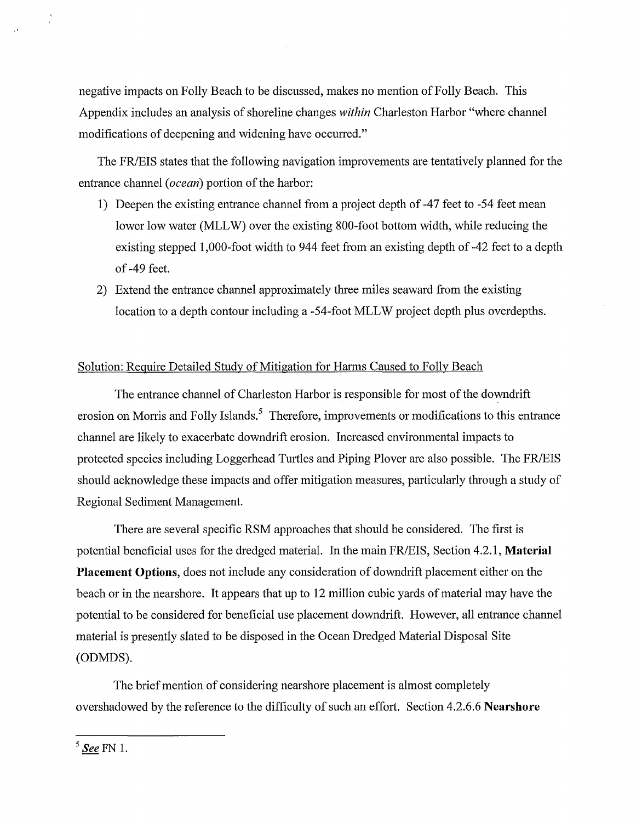negative impacts on Folly Beach to be discussed, makes no mention of Folly Beach. This Appendix includes an analysis of shoreline changes *within* Charleston Harbor "where channel modifications of deepening and widening have occurred."

The FR/EIS states that the following navigation improvements are tentatively planned for the entrance channel *(ocean)* portion of the harbor:

- 1) Deepen the existing entrance channel from a project depth of -47 feet to -54 feet mean lower low water (MLLW) over the existing 800-foot bottom width, while reducing the existing stepped 1,000-foot width to 944 feet from an existing depth of -42 feet to a depth of -49 feet.
- 2) Extend the entrance channel approximately three miles seaward from the existing location to a depth contour including a -54-foot MLL W project depth plus overdepths.

#### Solution: Require Detailed Study of Mitigation for Harms Caused to Folly Beach

The entrance channel of Charleston Harbor is responsible for most of the downdrift erosion on Morris and Folly Islands.<sup>5</sup> Therefore, improvements or modifications to this entrance channel are likely to exacerbate downdrift erosion. Increased environmental impacts to protected species including Loggerhead Turtles and Piping Plover are also possible. The FR/EIS should acknowledge these impacts and offer mitigation measures, particularly through a study of Regional Sediment Management.

There are several specific RSM approaches that should be considered. The first is potential beneficial uses for the dredged material. In the main FR/EIS, Section 4.2.1, **Material Placement Options,** does not include any consideration of downdrift placement either on the beach or in the nearshore. It appears that up to 12 million cubic yards of material may have the potential to be considered for beneficial use placement downdrift. However, all entrance channel material is presently slated to be disposed in the Ocean Dredged Material Disposal Site (ODMDS).

The brief mention of considering nearshore placement is almost completely overshadowed by the reference to the difficulty of such an effort. Section 4.2.6.6 **Nearshore** 

<sup>5</sup> See FN 1.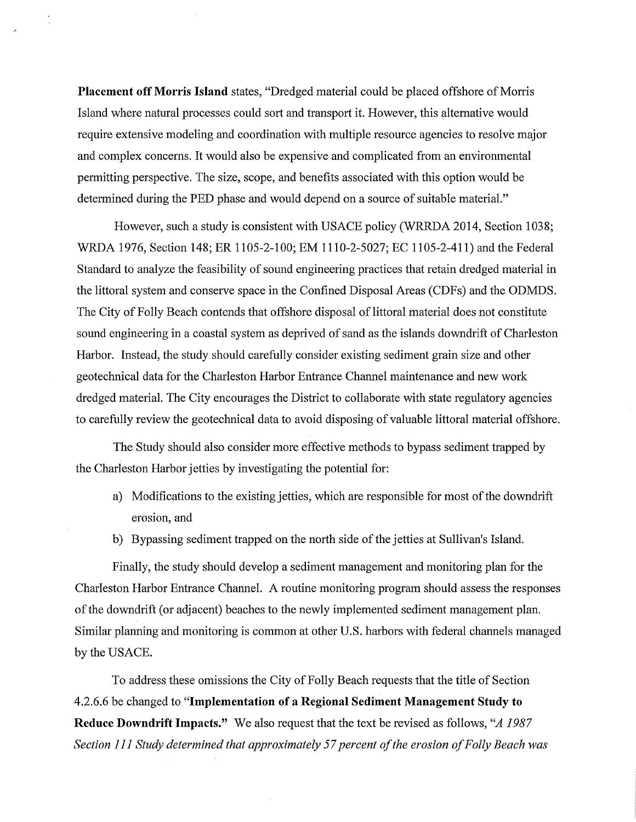**Placement off Morris Island** states, "Dredged material could be placed offshore of Morris Island where natural processes could sort and transport it. However, this alternative would require extensive modeling and coordination with multiple resource agencies to resolve major and complex concerns. It would also be expensive and complicated from an environmental permitting perspective. The size, scope, and benefits associated with this option would be determined during the PED phase and would depend on a source of suitable material."

However, such a study is consistent with USACE policy (WRRDA 2014, Section 1038; WRDA 1976, Section 148; ER 1105-2-100; EM 1110-2-5027; EC 1105-2-411) and the Federal Standard to analyze the feasibility of sound engineering practices that retain dredged material in the littoral system and conserve space in the Confined Disposal Areas (CDFs) and the ODMDS. The City of Folly Beach contends that offshore disposal of littoral material does not constitute sound engineering in a coastal system as deprived of sand as the islands downdrift of Charleston Harbor. Instead, the study should carefully consider existing sediment grain size and other geotechnical data for the Charleston Harbor Entrance Channel maintenance and new work dredged material. The City encourages the District to collaborate with state regulatory agencies to carefully review the geotechnical data to avoid disposing of valuable littoral material offshore.

The Study should also consider more effective methods to bypass sediment trapped by the Charleston Harbor jetties by investigating the potential for:

- a) Modifications to the existing jetties, which are responsible for most of the downdrift erosion, and
- b) Bypassing sediment trapped on the north side of the jetties at Sullivan's Island.

Finally, the study should develop a sediment management and monitoring plan for the Charleston Harbor Entrance Channel. A routine monitoring program should assess the responses ofthe downdrift (or adjacent) beaches to the newly implemented sediment management plan. Similar planning and monitoring is common at other U.S. harbors with federal channels managed by the USACE.

To address these omissions the City of Folly Beach requests that the title of Section 4.2.6.6 be changed to **"Implementation of a Regional Sediment Management Study to Reduce Downdrift Impacts."** We also request that the text be revised as follows, *"A 1987 Section 111 Study determined that approximately 57 percent of the erosion of Folly Beach was*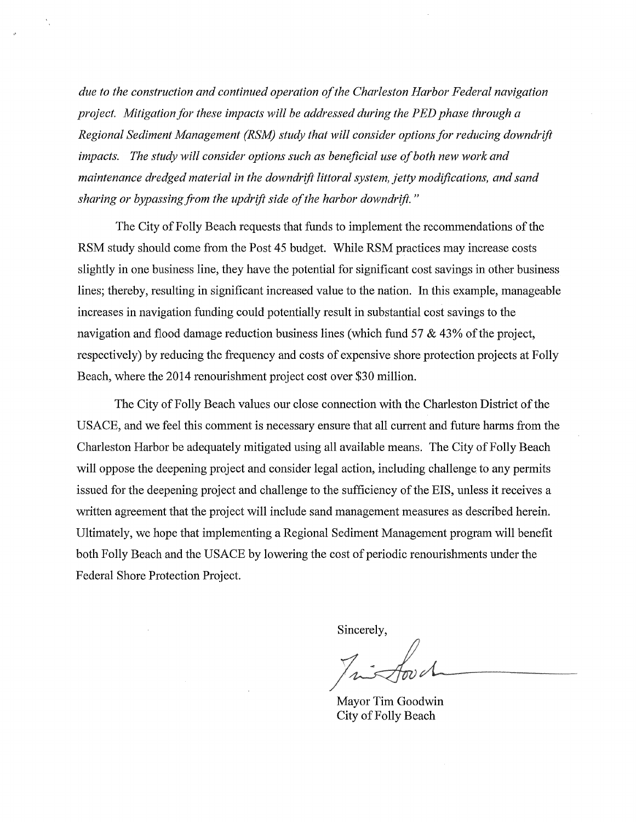*due to the construction and continued operation of the Charleston Harbor Federal navigation project. Mitigation for these impacts will be addressed during the PED phase through a Regional Sediment Management (RSM) study that will consider options for reducing downdrift impacts. The study will consider options such as beneficial use of both new work and maintenance dredged material in the downdrift littoral system, jetty modifications, and sand sharing or bypassing from the updrift side of the harbor down drift.* "

The City of Folly Beach requests that funds to implement the recommendations of the RSM study should come from the Post 45 budget. While RSM practices may increase costs slightly in one business line, they have the potential for significant cost savings in other business lines; thereby, resulting in significant increased value to the nation. In this example, manageable increases in navigation funding could potentially result in substantial cost savings to the navigation and flood damage reduction business lines (which fund 57 & 43% of the project, respectively) by reducing the frequency and costs of expensive shore protection projects at Folly Beach, where the 2014 renourishment project cost over \$30 million.

The City of Folly Beach values our close connection with the Charleston District of the USACE, and we feel this comment is necessary ensure that all current and future harms from the Charleston Harbor be adequately mitigated using all available means. The City of Folly Beach will oppose the deepening project and consider legal action, including challenge to any permits issued for the deepening project and challenge to the sufficiency of the EIS, unless it receives a written agreement that the project will include sand management measures as described herein. Ultimately, we hope that implementing a Regional Sediment Management program will benefit both Folly Beach and the USACE by lowering the cost of periodic renourishments under the Federal Shore Protection Project.

Sincerely,

Mayor Tim Goodwin City of Folly Beach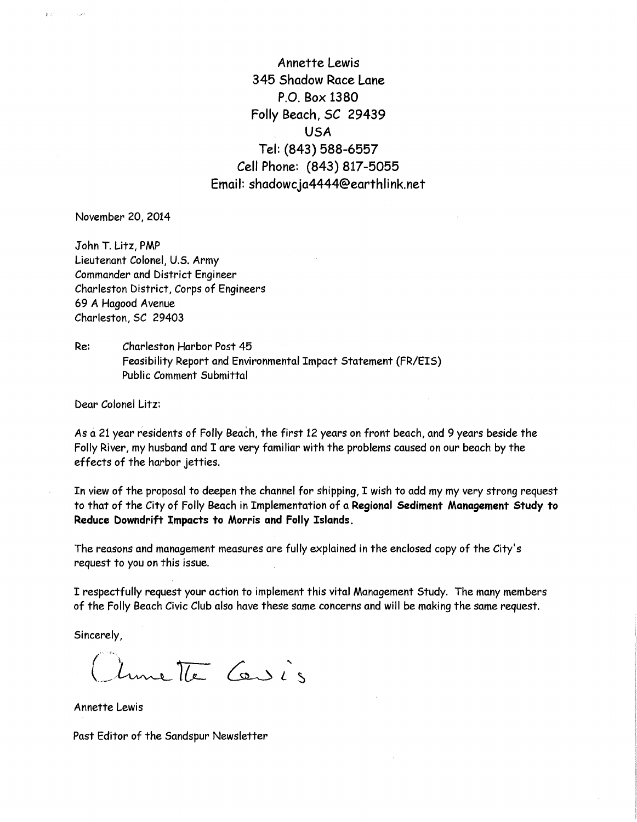Annette Lewis 345 Shadow Race Lane P.O. Box 1380 Folly Beach, SC 29439 USA Tel: (843) 588-6557 Cell Phone: (843) 817-5055 Email: shadowcja4444@earthlink.net

November 20, 2014

 $\mathbf{y}^{\top} \mathbf{z}^{\mathsf{T}}$ 

 $\sim 10^{11}$ 

John T. Litz, PMP Lieutenant Colonel, U.S. Army Commander and District Engineer Charleston District, Corps of Engineers 69 A Hagood Avenue Charleston, SC 29403

Re: Charleston Harbor Post 45 Feasibility Report and Environmental Impact Statement (FR/EIS) Public Comment Submittal

Dear Colonel Litz:

As a 21 year residents of Folly Beach, the first 12 years on front beach, and 9 years beside the Folly River, my husband and I are very familiar with the problems caused on our beach by the effects of the harbor jetties.

In view of the proposal to deepen the channel for shipping, I wish to add my my very strong request to that of the City of Folly Beach in Implementation of a Regional Sediment Management Study to Reduce Downdrift Impacts to Morris and Folly Islands.

The reasons and management measures are fully explained in the enclosed copy of the City's request to you on this issue.

I respectfully request your action to implement this vital Management Study. The many members of the Folly Beach Civic Club also have these same concerns and will be making the same request.

Sincerely,

Clumette Cersis

Annette Lewis

Past Editor of the Sandspur Newsletter